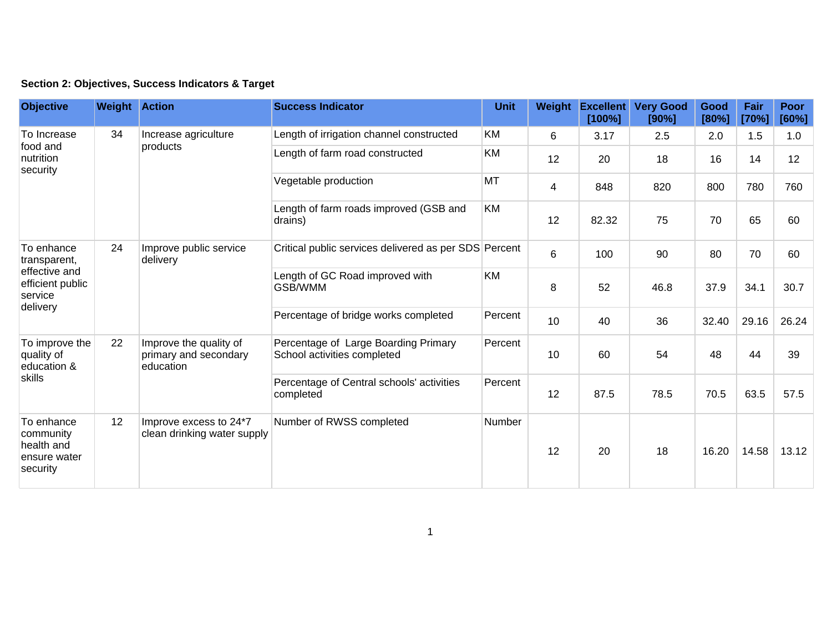|  | Section 2: Objectives, Success Indicators & Target |  |  |  |  |
|--|----------------------------------------------------|--|--|--|--|
|--|----------------------------------------------------|--|--|--|--|

| <b>Objective</b>                                                                       | <b>Weight Action</b> |                                                              | <b>Success Indicator</b>                                            | <b>Unit</b> | Weight | <b>Excellent</b><br>[100%] | <b>Very Good</b><br>[90%] | Good<br>[80%] | Fair<br>[70%] | Poor<br>[60%] |
|----------------------------------------------------------------------------------------|----------------------|--------------------------------------------------------------|---------------------------------------------------------------------|-------------|--------|----------------------------|---------------------------|---------------|---------------|---------------|
| To Increase<br>food and<br>nutrition<br>security                                       | 34                   | Increase agriculture<br>products                             | Length of irrigation channel constructed                            | <b>KM</b>   | 6      | 3.17                       | 2.5                       | 2.0           | 1.5           | 1.0           |
|                                                                                        |                      |                                                              | Length of farm road constructed                                     | <b>KM</b>   | 12     | 20                         | 18                        | 16            | 14            | 12            |
|                                                                                        |                      |                                                              | Vegetable production                                                | <b>MT</b>   | 4      | 848                        | 820                       | 800           | 780           | 760           |
|                                                                                        |                      |                                                              | Length of farm roads improved (GSB and<br>drains)                   | <b>KM</b>   | 12     | 82.32                      | 75                        | 70            | 65            | 60            |
| To enhance<br>transparent,<br>effective and<br>efficient public<br>service<br>delivery | 24                   | Improve public service<br>delivery                           | Critical public services delivered as per SDS Percent               |             | 6      | 100                        | 90                        | 80            | 70            | 60            |
|                                                                                        |                      |                                                              | Length of GC Road improved with<br>GSB/WMM                          | <b>KM</b>   | 8      | 52                         | 46.8                      | 37.9          | 34.1          | 30.7          |
|                                                                                        |                      |                                                              | Percentage of bridge works completed                                | Percent     | 10     | 40                         | 36                        | 32.40         | 29.16         | 26.24         |
| To improve the<br>quality of<br>education &<br>skills                                  | 22                   | Improve the quality of<br>primary and secondary<br>education | Percentage of Large Boarding Primary<br>School activities completed | Percent     | 10     | 60                         | 54                        | 48            | 44            | 39            |
|                                                                                        |                      |                                                              | Percentage of Central schools' activities<br>completed              | Percent     | 12     | 87.5                       | 78.5                      | 70.5          | 63.5          | 57.5          |
| To enhance<br>community<br>health and<br>ensure water<br>security                      | 12                   | Improve excess to 24*7<br>clean drinking water supply        | Number of RWSS completed                                            | Number      | 12     | 20                         | 18                        | 16.20         | 14.58         | 13.12         |